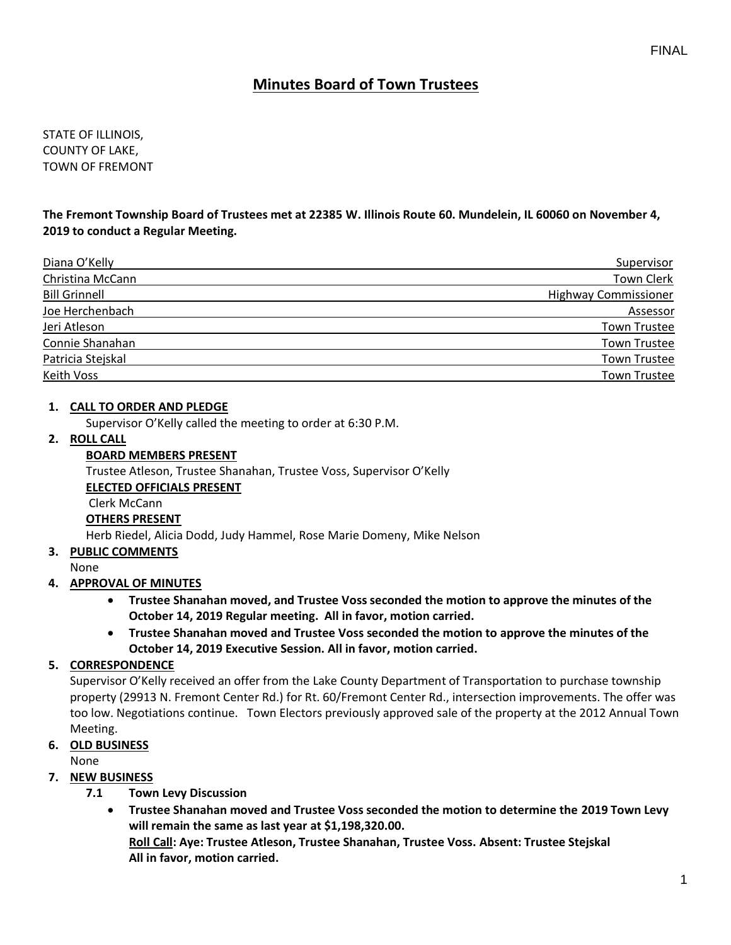# **Minutes Board of Town Trustees**

STATE OF ILLINOIS, COUNTY OF LAKE, TOWN OF FREMONT

**The Fremont Township Board of Trustees met at 22385 W. Illinois Route 60. Mundelein, IL 60060 on November 4, 2019 to conduct a Regular Meeting.**

| Diana O'Kelly        | Supervisor                  |
|----------------------|-----------------------------|
| Christina McCann     | <b>Town Clerk</b>           |
| <b>Bill Grinnell</b> | <b>Highway Commissioner</b> |
| Joe Herchenbach      | Assessor                    |
| Jeri Atleson         | <b>Town Trustee</b>         |
| Connie Shanahan      | <b>Town Trustee</b>         |
| Patricia Stejskal    | <b>Town Trustee</b>         |
| <b>Keith Voss</b>    | <b>Town Trustee</b>         |

#### **1. CALL TO ORDER AND PLEDGE**

Supervisor O'Kelly called the meeting to order at 6:30 P.M.

# **2. ROLL CALL**

### **BOARD MEMBERS PRESENT**

Trustee Atleson, Trustee Shanahan, Trustee Voss, Supervisor O'Kelly

#### **ELECTED OFFICIALS PRESENT**

Clerk McCann

#### **OTHERS PRESENT**

Herb Riedel, Alicia Dodd, Judy Hammel, Rose Marie Domeny, Mike Nelson

#### **3. PUBLIC COMMENTS**

None

# **4. APPROVAL OF MINUTES**

- **Trustee Shanahan moved, and Trustee Voss seconded the motion to approve the minutes of the October 14, 2019 Regular meeting. All in favor, motion carried.**
- **Trustee Shanahan moved and Trustee Voss seconded the motion to approve the minutes of the October 14, 2019 Executive Session. All in favor, motion carried.**

# **5. CORRESPONDENCE**

Supervisor O'Kelly received an offer from the Lake County Department of Transportation to purchase township property (29913 N. Fremont Center Rd.) for Rt. 60/Fremont Center Rd., intersection improvements. The offer was too low. Negotiations continue. Town Electors previously approved sale of the property at the 2012 Annual Town Meeting.

# **6. OLD BUSINESS**

None

# **7. NEW BUSINESS**

- **7.1 Town Levy Discussion**
	- **Trustee Shanahan moved and Trustee Voss seconded the motion to determine the 2019 Town Levy will remain the same as last year at \$1,198,320.00.**

**Roll Call: Aye: Trustee Atleson, Trustee Shanahan, Trustee Voss. Absent: Trustee Stejskal All in favor, motion carried.**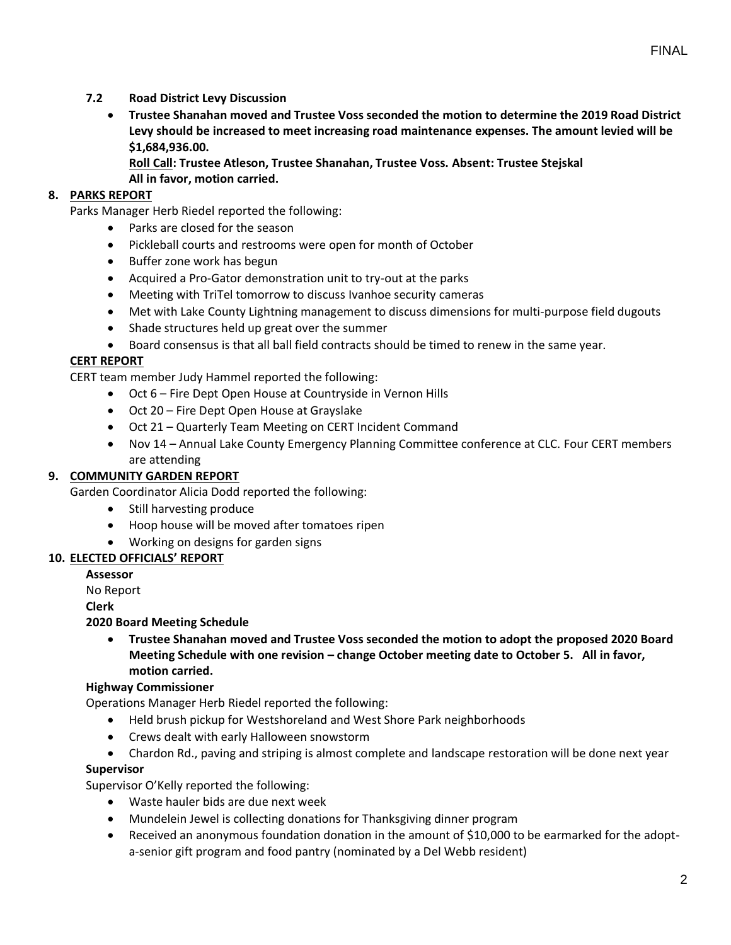- **7.2 Road District Levy Discussion**
	- **Trustee Shanahan moved and Trustee Voss seconded the motion to determine the 2019 Road District Levy should be increased to meet increasing road maintenance expenses. The amount levied will be \$1,684,936.00.**
		- **Roll Call: Trustee Atleson, Trustee Shanahan, Trustee Voss. Absent: Trustee Stejskal All in favor, motion carried.**

# **8. PARKS REPORT**

Parks Manager Herb Riedel reported the following:

- Parks are closed for the season
- Pickleball courts and restrooms were open for month of October
- Buffer zone work has begun
- Acquired a Pro-Gator demonstration unit to try-out at the parks
- Meeting with TriTel tomorrow to discuss Ivanhoe security cameras
- Met with Lake County Lightning management to discuss dimensions for multi-purpose field dugouts
- Shade structures held up great over the summer
- Board consensus is that all ball field contracts should be timed to renew in the same year.

# **CERT REPORT**

CERT team member Judy Hammel reported the following:

- Oct 6 Fire Dept Open House at Countryside in Vernon Hills
- Oct 20 Fire Dept Open House at Grayslake
- Oct 21 Quarterly Team Meeting on CERT Incident Command
- Nov 14 Annual Lake County Emergency Planning Committee conference at CLC. Four CERT members are attending

# **9. COMMUNITY GARDEN REPORT**

Garden Coordinator Alicia Dodd reported the following:

- Still harvesting produce
- Hoop house will be moved after tomatoes ripen
- Working on designs for garden signs

# **10. ELECTED OFFICIALS' REPORT**

**Assessor**

No Report

**Clerk** 

# **2020 Board Meeting Schedule**

• **Trustee Shanahan moved and Trustee Voss seconded the motion to adopt the proposed 2020 Board Meeting Schedule with one revision – change October meeting date to October 5. All in favor, motion carried.** 

# **Highway Commissioner**

Operations Manager Herb Riedel reported the following:

- Held brush pickup for Westshoreland and West Shore Park neighborhoods
- Crews dealt with early Halloween snowstorm
- Chardon Rd., paving and striping is almost complete and landscape restoration will be done next year

#### **Supervisor**

Supervisor O'Kelly reported the following:

- Waste hauler bids are due next week
- Mundelein Jewel is collecting donations for Thanksgiving dinner program
- Received an anonymous foundation donation in the amount of \$10,000 to be earmarked for the adopta-senior gift program and food pantry (nominated by a Del Webb resident)